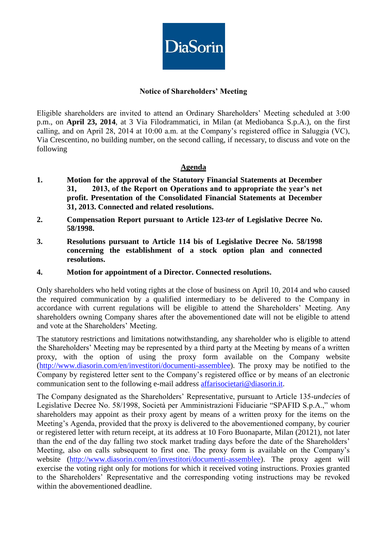

## **Notice of Shareholders' Meeting**

Eligible shareholders are invited to attend an Ordinary Shareholders' Meeting scheduled at 3:00 p.m., on **April 23, 2014**, at 3 Via Filodrammatici, in Milan (at Mediobanca S.p.A.), on the first calling, and on April 28, 2014 at 10:00 a.m. at the Company's registered office in Saluggia (VC), Via Crescentino, no building number, on the second calling, if necessary, to discuss and vote on the following

## **Agenda**

- **1. Motion for the approval of the Statutory Financial Statements at December 31, 2013, of the Report on Operations and to appropriate the year's net profit. Presentation of the Consolidated Financial Statements at December 31, 2013. Connected and related resolutions.**
- **2. Compensation Report pursuant to Article 123-***ter* **of Legislative Decree No. 58/1998.**
- **3. Resolutions pursuant to Article 114 bis of Legislative Decree No. 58/1998 concerning the establishment of a stock option plan and connected resolutions.**
- **4. Motion for appointment of a Director. Connected resolutions.**

Only shareholders who held voting rights at the close of business on April 10, 2014 and who caused the required communication by a qualified intermediary to be delivered to the Company in accordance with current regulations will be eligible to attend the Shareholders' Meeting. Any shareholders owning Company shares after the abovementioned date will not be eligible to attend and vote at the Shareholders' Meeting.

The statutory restrictions and limitations notwithstanding, any shareholder who is eligible to attend the Shareholders' Meeting may be represented by a third party at the Meeting by means of a written proxy, with the option of using the proxy form available on the Company website [\(http://www.diasorin.com/en/investitori/documenti-assemblee\)](http://www.diasorin.com/en/investitori/documenti-assemblee). The proxy may be notified to the Company by registered letter sent to the Company's registered office or by means of an electronic communication sent to the following e-mail address [affarisocietari@diasorin.it.](mailto:affarisocietari@diasorin.it)

The Company designated as the Shareholders' Representative, pursuant to Article 135-*undecies* of Legislative Decree No. 58/1998, Società per Amministrazioni Fiduciarie "SPAFID S.p.A.," whom shareholders may appoint as their proxy agent by means of a written proxy for the items on the Meeting's Agenda, provided that the proxy is delivered to the abovementioned company, by courier or registered letter with return receipt, at its address at 10 Foro Buonaparte, Milan (20121), not later than the end of the day falling two stock market trading days before the date of the Shareholders' Meeting, also on calls subsequent to first one. The proxy form is available on the Company's website [\(http://www.diasorin.com/en/investitori/documenti-assemblee\)](http://www.diasorin.com/en/investitori/documenti-assemblee). The proxy agent will exercise the voting right only for motions for which it received voting instructions. Proxies granted to the Shareholders' Representative and the corresponding voting instructions may be revoked within the abovementioned deadline.